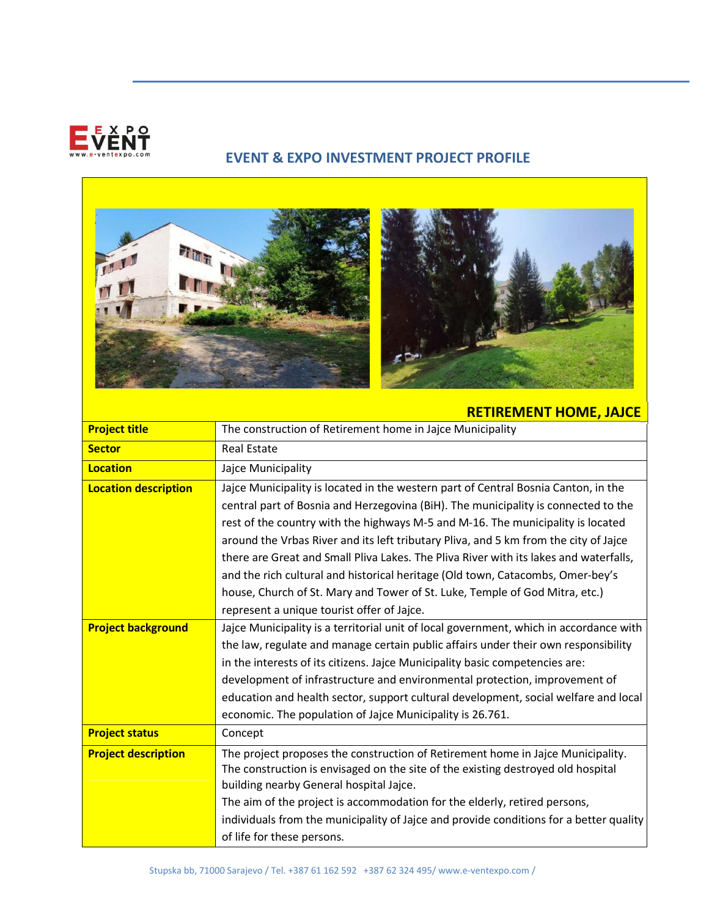

## EVENT & EXPO INVESTMENT PROJECT PROFILE



## RETIREMENT HOME, JAJCE

| <b>Project title</b>        | The construction of Retirement home in Jajce Municipality                              |
|-----------------------------|----------------------------------------------------------------------------------------|
| <b>Sector</b>               | <b>Real Estate</b>                                                                     |
| <b>Location</b>             | Jajce Municipality                                                                     |
| <b>Location description</b> | Jajce Municipality is located in the western part of Central Bosnia Canton, in the     |
|                             | central part of Bosnia and Herzegovina (BiH). The municipality is connected to the     |
|                             | rest of the country with the highways M-5 and M-16. The municipality is located        |
|                             | around the Vrbas River and its left tributary Pliva, and 5 km from the city of Jajce   |
|                             | there are Great and Small Pliva Lakes. The Pliva River with its lakes and waterfalls,  |
|                             | and the rich cultural and historical heritage (Old town, Catacombs, Omer-bey's         |
|                             | house, Church of St. Mary and Tower of St. Luke, Temple of God Mitra, etc.)            |
|                             | represent a unique tourist offer of Jajce.                                             |
| <b>Project background</b>   | Jajce Municipality is a territorial unit of local government, which in accordance with |
|                             | the law, regulate and manage certain public affairs under their own responsibility     |
|                             | in the interests of its citizens. Jajce Municipality basic competencies are:           |
|                             | development of infrastructure and environmental protection, improvement of             |
|                             | education and health sector, support cultural development, social welfare and local    |
|                             | economic. The population of Jajce Municipality is 26.761.                              |
| <b>Project status</b>       | Concept                                                                                |
| <b>Project description</b>  | The project proposes the construction of Retirement home in Jajce Municipality.        |
|                             | The construction is envisaged on the site of the existing destroyed old hospital       |
|                             | building nearby General hospital Jajce.                                                |
|                             | The aim of the project is accommodation for the elderly, retired persons,              |
|                             | individuals from the municipality of Jajce and provide conditions for a better quality |
|                             | of life for these persons.                                                             |